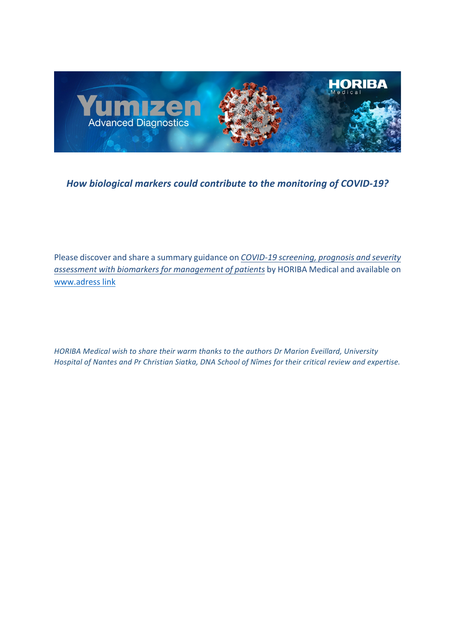

# How biological markers could contribute to the monitoring of COVID-19?

Please discover and share a summary guidance on *COVID-19* screening, prognosis and severity assessment with biomarkers for management of patients by HORIBA Medical and available on www.adress link

*HORIBA Medical wish to share their warm thanks to the authors Dr Marion Eveillard, University Hospital of Nantes and Pr Christian Siatka, DNA School of Nîmes for their critical review and expertise.*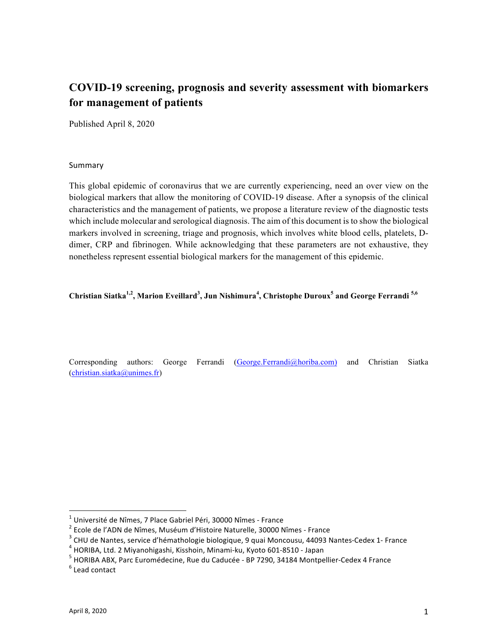# **COVID-19 screening, prognosis and severity assessment with biomarkers for management of patients**

Published April 8, 2020

#### Summary

This global epidemic of coronavirus that we are currently experiencing, need an over view on the biological markers that allow the monitoring of COVID-19 disease. After a synopsis of the clinical characteristics and the management of patients, we propose a literature review of the diagnostic tests which include molecular and serological diagnosis. The aim of this document is to show the biological markers involved in screening, triage and prognosis, which involves white blood cells, platelets, Ddimer, CRP and fibrinogen. While acknowledging that these parameters are not exhaustive, they nonetheless represent essential biological markers for the management of this epidemic.

#### Christian Siatka<sup>1,2</sup>, Marion Eveillard<sup>3</sup>, Jun Nishimura<sup>4</sup>, Christophe Duroux<sup>5</sup> and George Ferrandi <sup>5,6</sup>

Corresponding authors: George Ferrandi (George.Ferrandi@horiba.com) and Christian Siatka  $(christian.siatka@unimes.fr)$ 

<sup>&</sup>lt;sup>1</sup> Université de Nîmes, 7 Place Gabriel Péri, 30000 Nîmes - France<br>
<sup>2</sup> Ecole de l'ADN de Nîmes, Muséum d'Histoire Naturelle, 30000 Nîmes - France<br>
<sup>3</sup> CHU de Nantes, service d'hémathologie biologique, 9 quai Moncousu, 4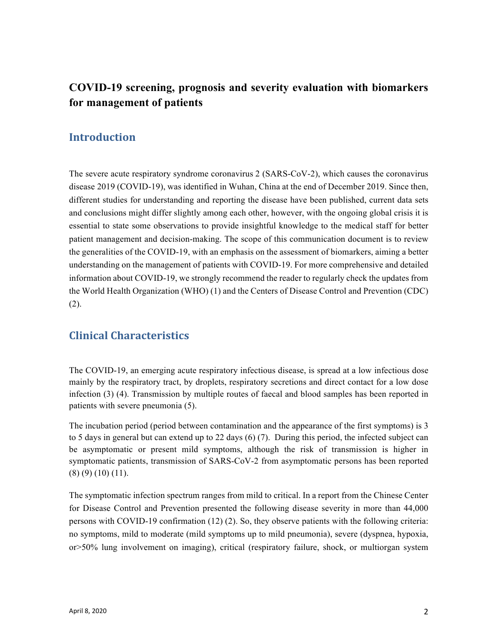# **COVID-19 screening, prognosis and severity evaluation with biomarkers for management of patients**

### **Introduction**

The severe acute respiratory syndrome coronavirus 2 (SARS-CoV-2), which causes the coronavirus disease 2019 (COVID-19), was identified in Wuhan, China at the end of December 2019. Since then, different studies for understanding and reporting the disease have been published, current data sets and conclusions might differ slightly among each other, however, with the ongoing global crisis it is essential to state some observations to provide insightful knowledge to the medical staff for better patient management and decision-making. The scope of this communication document is to review the generalities of the COVID-19, with an emphasis on the assessment of biomarkers, aiming a better understanding on the management of patients with COVID-19. For more comprehensive and detailed information about COVID-19, we strongly recommend the reader to regularly check the updates from the World Health Organization (WHO) (1) and the Centers of Disease Control and Prevention (CDC) (2).

## **Clinical Characteristics**

The COVID-19, an emerging acute respiratory infectious disease, is spread at a low infectious dose mainly by the respiratory tract, by droplets, respiratory secretions and direct contact for a low dose infection (3) (4). Transmission by multiple routes of faecal and blood samples has been reported in patients with severe pneumonia (5).

The incubation period (period between contamination and the appearance of the first symptoms) is 3 to 5 days in general but can extend up to 22 days (6) (7). During this period, the infected subject can be asymptomatic or present mild symptoms, although the risk of transmission is higher in symptomatic patients, transmission of SARS-CoV-2 from asymptomatic persons has been reported (8) (9) (10) (11).

The symptomatic infection spectrum ranges from mild to critical. In a report from the Chinese Center for Disease Control and Prevention presented the following disease severity in more than 44,000 persons with COVID-19 confirmation (12) (2). So, they observe patients with the following criteria: no symptoms, mild to moderate (mild symptoms up to mild pneumonia), severe (dyspnea, hypoxia, or>50% lung involvement on imaging), critical (respiratory failure, shock, or multiorgan system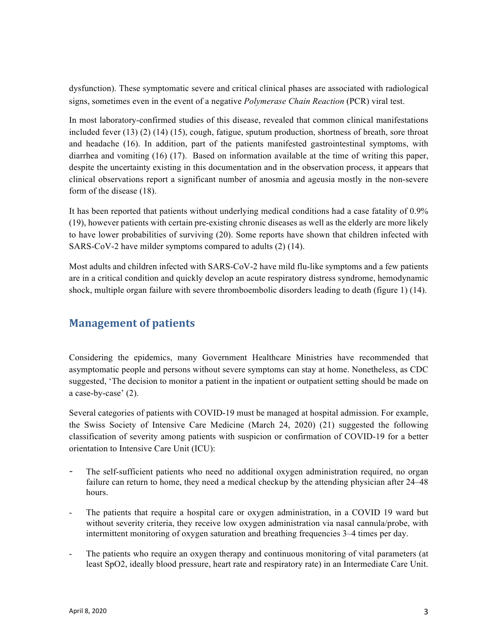dysfunction). These symptomatic severe and critical clinical phases are associated with radiological signs, sometimes even in the event of a negative *Polymerase Chain Reaction* (PCR) viral test.

In most laboratory-confirmed studies of this disease, revealed that common clinical manifestations included fever (13) (2) (14) (15), cough, fatigue, sputum production, shortness of breath, sore throat and headache (16). In addition, part of the patients manifested gastrointestinal symptoms, with diarrhea and vomiting (16) (17). Based on information available at the time of writing this paper, despite the uncertainty existing in this documentation and in the observation process, it appears that clinical observations report a significant number of anosmia and ageusia mostly in the non-severe form of the disease (18).

It has been reported that patients without underlying medical conditions had a case fatality of 0.9% (19), however patients with certain pre-existing chronic diseases as well as the elderly are more likely to have lower probabilities of surviving (20). Some reports have shown that children infected with SARS-CoV-2 have milder symptoms compared to adults (2) (14).

Most adults and children infected with SARS-CoV-2 have mild flu-like symptoms and a few patients are in a critical condition and quickly develop an acute respiratory distress syndrome, hemodynamic shock, multiple organ failure with severe thromboembolic disorders leading to death (figure 1) (14).

# **Management of patients**

Considering the epidemics, many Government Healthcare Ministries have recommended that asymptomatic people and persons without severe symptoms can stay at home. Nonetheless, as CDC suggested, 'The decision to monitor a patient in the inpatient or outpatient setting should be made on a case-by-case' (2).

Several categories of patients with COVID-19 must be managed at hospital admission. For example, the Swiss Society of Intensive Care Medicine (March 24, 2020) (21) suggested the following classification of severity among patients with suspicion or confirmation of COVID-19 for a better orientation to Intensive Care Unit (ICU):

- The self-sufficient patients who need no additional oxygen administration required, no organ failure can return to home, they need a medical checkup by the attending physician after 24–48 hours.
- The patients that require a hospital care or oxygen administration, in a COVID 19 ward but without severity criteria, they receive low oxygen administration via nasal cannula/probe, with intermittent monitoring of oxygen saturation and breathing frequencies 3–4 times per day.
- The patients who require an oxygen therapy and continuous monitoring of vital parameters (at least SpO2, ideally blood pressure, heart rate and respiratory rate) in an Intermediate Care Unit.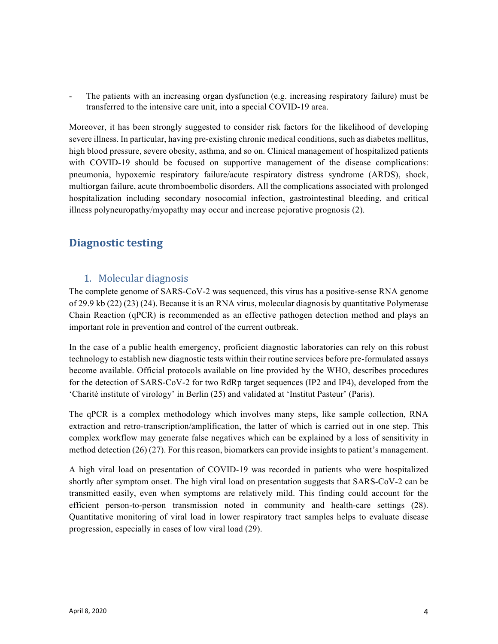- The patients with an increasing organ dysfunction (e.g. increasing respiratory failure) must be transferred to the intensive care unit, into a special COVID-19 area.

Moreover, it has been strongly suggested to consider risk factors for the likelihood of developing severe illness. In particular, having pre-existing chronic medical conditions, such as diabetes mellitus, high blood pressure, severe obesity, asthma, and so on. Clinical management of hospitalized patients with COVID-19 should be focused on supportive management of the disease complications: pneumonia, hypoxemic respiratory failure/acute respiratory distress syndrome (ARDS), shock, multiorgan failure, acute thromboembolic disorders. All the complications associated with prolonged hospitalization including secondary nosocomial infection, gastrointestinal bleeding, and critical illness polyneuropathy/myopathy may occur and increase pejorative prognosis (2).

## **Diagnostic testing**

### 1. Molecular diagnosis

The complete genome of SARS-CoV-2 was sequenced, this virus has a positive-sense RNA genome of 29.9 kb (22) (23) (24). Because it is an RNA virus, molecular diagnosis by quantitative Polymerase Chain Reaction (qPCR) is recommended as an effective pathogen detection method and plays an important role in prevention and control of the current outbreak.

In the case of a public health emergency, proficient diagnostic laboratories can rely on this robust technology to establish new diagnostic tests within their routine services before pre-formulated assays become available. Official protocols available on line provided by the WHO, describes procedures for the detection of SARS-CoV-2 for two RdRp target sequences (IP2 and IP4), developed from the 'Charité institute of virology' in Berlin (25) and validated at 'Institut Pasteur' (Paris).

The qPCR is a complex methodology which involves many steps, like sample collection, RNA extraction and retro-transcription/amplification, the latter of which is carried out in one step. This complex workflow may generate false negatives which can be explained by a loss of sensitivity in method detection (26) (27). For this reason, biomarkers can provide insights to patient's management.

A high viral load on presentation of COVID-19 was recorded in patients who were hospitalized shortly after symptom onset. The high viral load on presentation suggests that SARS-CoV-2 can be transmitted easily, even when symptoms are relatively mild. This finding could account for the efficient person-to-person transmission noted in community and health-care settings (28). Quantitative monitoring of viral load in lower respiratory tract samples helps to evaluate disease progression, especially in cases of low viral load (29).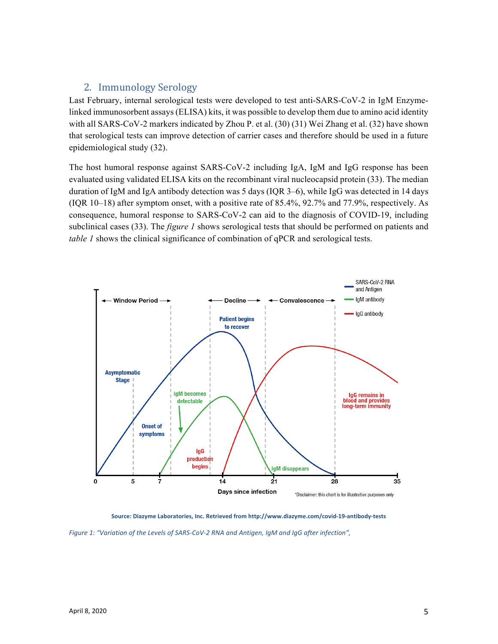### 2. Immunology Serology

Last February, internal serological tests were developed to test anti-SARS-CoV-2 in IgM Enzymelinked immunosorbent assays (ELISA) kits, it was possible to develop them due to amino acid identity with all SARS-CoV-2 markers indicated by Zhou P. et al. (30) (31) Wei Zhang et al. (32) have shown that serological tests can improve detection of carrier cases and therefore should be used in a future epidemiological study (32).

The host humoral response against SARS-CoV-2 including IgA, IgM and IgG response has been evaluated using validated ELISA kits on the recombinant viral nucleocapsid protein (33). The median duration of IgM and IgA antibody detection was 5 days (IQR 3–6), while IgG was detected in 14 days (IQR 10–18) after symptom onset, with a positive rate of 85.4%, 92.7% and 77.9%, respectively. As consequence, humoral response to SARS-CoV-2 can aid to the diagnosis of COVID-19, including subclinical cases (33). The *figure 1* shows serological tests that should be performed on patients and *table 1* shows the clinical significance of combination of qPCR and serological tests.



Source: Diazyme Laboratories, Inc. Retrieved from http://www.diazyme.com/covid-19-antibody-tests

Figure 1: "Variation of the Levels of SARS-CoV-2 RNA and Antigen, IgM and IgG after infection",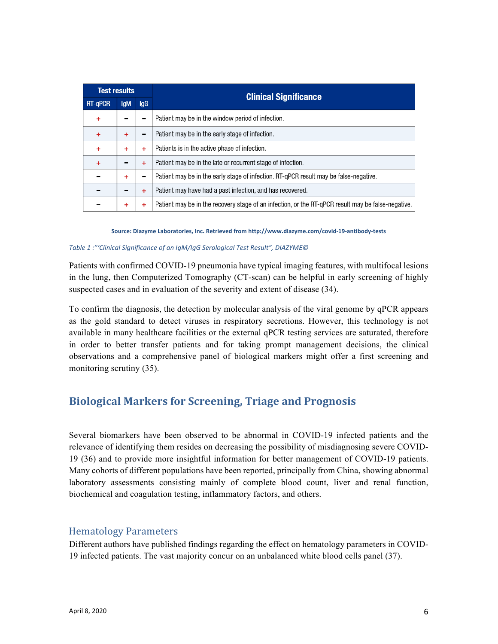| <b>Test results</b> |            |           |                                                                                                    |
|---------------------|------------|-----------|----------------------------------------------------------------------------------------------------|
| <b>RT-gPCR</b>      | <b>IgM</b> | lgG       | <b>Clinical Significance</b>                                                                       |
| $\ddot{}$           |            |           | Patient may be in the window period of infection.                                                  |
| $\ddot{}$           | ÷          | -         | Patient may be in the early stage of infection.                                                    |
| ÷                   | ÷          | ÷         | Patients is in the active phase of infection.                                                      |
| $\ddot{}$           |            | $\ddot{}$ | Patient may be in the late or recurrent stage of infection.                                        |
|                     | ÷          | -         | Patient may be in the early stage of infection. RT-gPCR result may be false-negative.              |
|                     |            | $\ddot{}$ | Patient may have had a past infection, and has recovered.                                          |
|                     | ÷          | ÷         | Patient may be in the recovery stage of an infection, or the RT-gPCR result may be false-negative. |

Source: Diazyme Laboratories, Inc. Retrieved from http://www.diazyme.com/covid-19-antibody-tests

#### *Table 1 :"'Clinical Significance of an IgM/IgG Serological Test Result", DIAZYME©*

Patients with confirmed COVID-19 pneumonia have typical imaging features, with multifocal lesions in the lung, then Computerized Tomography (CT-scan) can be helpful in early screening of highly suspected cases and in evaluation of the severity and extent of disease (34).

To confirm the diagnosis, the detection by molecular analysis of the viral genome by qPCR appears as the gold standard to detect viruses in respiratory secretions. However, this technology is not available in many healthcare facilities or the external qPCR testing services are saturated, therefore in order to better transfer patients and for taking prompt management decisions, the clinical observations and a comprehensive panel of biological markers might offer a first screening and monitoring scrutiny (35).

## **Biological Markers for Screening, Triage and Prognosis**

Several biomarkers have been observed to be abnormal in COVID-19 infected patients and the relevance of identifying them resides on decreasing the possibility of misdiagnosing severe COVID-19 (36) and to provide more insightful information for better management of COVID-19 patients. Many cohorts of different populations have been reported, principally from China, showing abnormal laboratory assessments consisting mainly of complete blood count, liver and renal function, biochemical and coagulation testing, inflammatory factors, and others.

### Hematology Parameters

Different authors have published findings regarding the effect on hematology parameters in COVID-19 infected patients. The vast majority concur on an unbalanced white blood cells panel (37).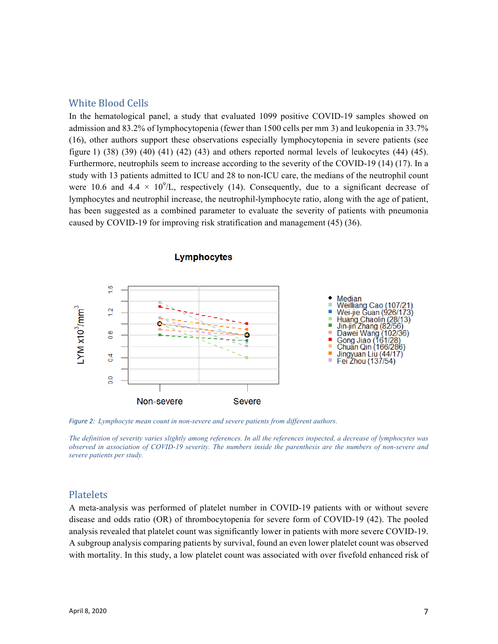#### White Blood Cells

In the hematological panel, a study that evaluated 1099 positive COVID-19 samples showed on admission and 83.2% of lymphocytopenia (fewer than 1500 cells per mm 3) and leukopenia in 33.7% (16), other authors support these observations especially lymphocytopenia in severe patients (see figure 1)  $(38)$   $(39)$   $(40)$   $(41)$   $(42)$   $(43)$  and others reported normal levels of leukocytes  $(44)$   $(45)$ . Furthermore, neutrophils seem to increase according to the severity of the COVID-19 (14) (17). In a study with 13 patients admitted to ICU and 28 to non-ICU care, the medians of the neutrophil count were 10.6 and 4.4  $\times$  10<sup>9</sup>/L, respectively (14). Consequently, due to a significant decrease of lymphocytes and neutrophil increase, the neutrophil-lymphocyte ratio, along with the age of patient, has been suggested as a combined parameter to evaluate the severity of patients with pneumonia caused by COVID-19 for improving risk stratification and management (45) (36).



Lymphocytes

*Figure 2: Lymphocyte mean count in non-severe and severe patients from different authors.* 

*The definition of severity varies slightly among references. In all the references inspected, a decrease of lymphocytes was observed in association of COVID-19 severity. The numbers inside the parenthesis are the numbers of non-severe and severe patients per study.*

### Platelets

A meta-analysis was performed of platelet number in COVID-19 patients with or without severe disease and odds ratio (OR) of thrombocytopenia for severe form of COVID-19 (42). The pooled analysis revealed that platelet count was significantly lower in patients with more severe COVID-19. A subgroup analysis comparing patients by survival, found an even lower platelet count was observed with mortality. In this study, a low platelet count was associated with over fivefold enhanced risk of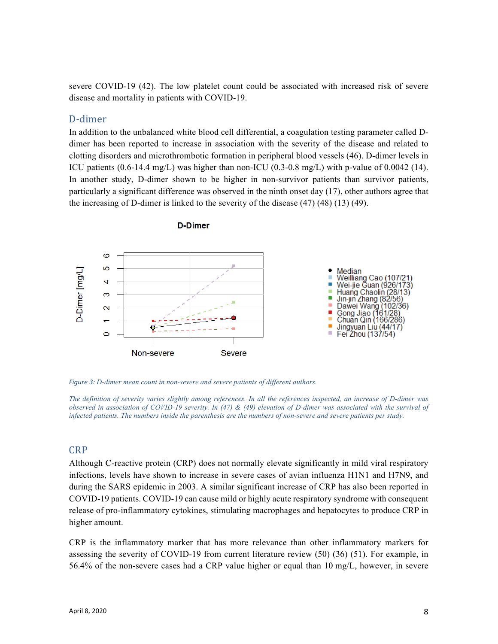severe COVID-19 (42). The low platelet count could be associated with increased risk of severe disease and mortality in patients with COVID-19.

### D-dimer

In addition to the unbalanced white blood cell differential, a coagulation testing parameter called Ddimer has been reported to increase in association with the severity of the disease and related to clotting disorders and microthrombotic formation in peripheral blood vessels (46). D-dimer levels in ICU patients  $(0.6-14.4 \text{ mg/L})$  was higher than non-ICU  $(0.3-0.8 \text{ mg/L})$  with p-value of  $0.0042$  (14). In another study, D-dimer shown to be higher in non-survivor patients than survivor patients, particularly a significant difference was observed in the ninth onset day (17), other authors agree that the increasing of D-dimer is linked to the severity of the disease (47) (48) (13) (49).



**D-Dimer** 

*Figure 3: D-dimer mean count in non-severe and severe patients of different authors.* 

*The definition of severity varies slightly among references. In all the references inspected, an increase of D-dimer was observed in association of COVID-19 severity. In (47) & (49) elevation of D-dimer was associated with the survival of infected patients. The numbers inside the parenthesis are the numbers of non-severe and severe patients per study.*

#### CRP

Although C-reactive protein (CRP) does not normally elevate significantly in mild viral respiratory infections, levels have shown to increase in severe cases of avian influenza H1N1 and H7N9, and during the SARS epidemic in 2003. A similar significant increase of CRP has also been reported in COVID-19 patients. COVID-19 can cause mild or highly acute respiratory syndrome with consequent release of pro-inflammatory cytokines, stimulating macrophages and hepatocytes to produce CRP in higher amount.

CRP is the inflammatory marker that has more relevance than other inflammatory markers for assessing the severity of COVID-19 from current literature review (50) (36) (51). For example, in 56.4% of the non-severe cases had a CRP value higher or equal than 10 mg/L, however, in severe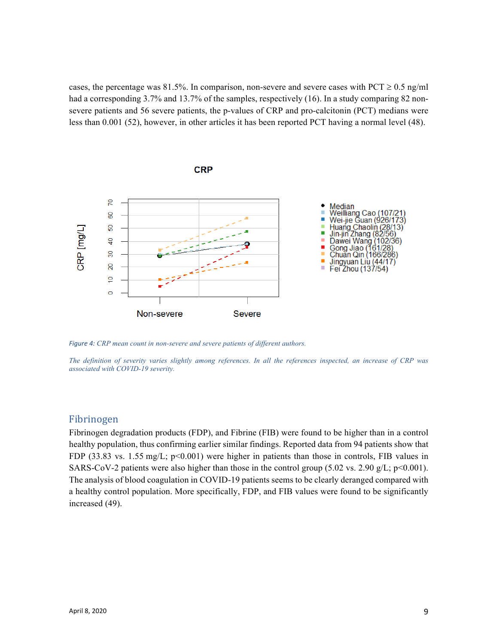cases, the percentage was 81.5%. In comparison, non-severe and severe cases with PCT  $\geq$  0.5 ng/ml had a corresponding 3.7% and 13.7% of the samples, respectively (16). In a study comparing 82 nonsevere patients and 56 severe patients, the p-values of CRP and pro-calcitonin (PCT) medians were less than 0.001 (52), however, in other articles it has been reported PCT having a normal level (48).



*Figure 4: CRP mean count in non-severe and severe patients of different authors.* 

*The definition of severity varies slightly among references. In all the references inspected, an increase of CRP was associated with COVID-19 severity.*

#### Fibrinogen

Fibrinogen degradation products (FDP), and Fibrine (FIB) were found to be higher than in a control healthy population, thus confirming earlier similar findings. Reported data from 94 patients show that FDP (33.83 vs. 1.55 mg/L; p<0.001) were higher in patients than those in controls, FIB values in SARS-CoV-2 patients were also higher than those in the control group (5.02 vs. 2.90  $g/L$ ; p<0.001). The analysis of blood coagulation in COVID-19 patients seems to be clearly deranged compared with a healthy control population. More specifically, FDP, and FIB values were found to be significantly increased (49).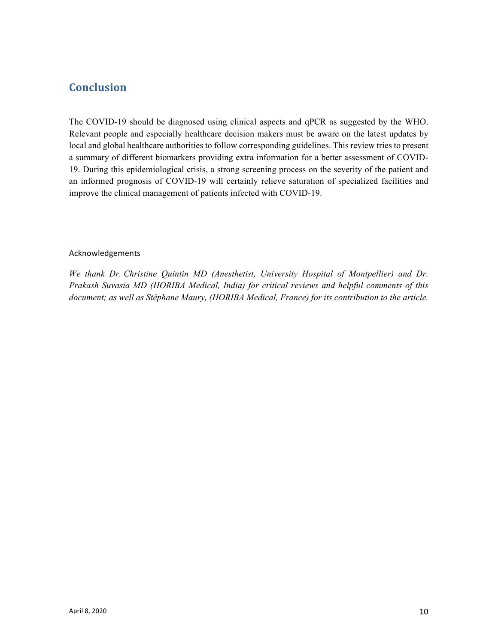## **Conclusion**

The COVID-19 should be diagnosed using clinical aspects and qPCR as suggested by the WHO. Relevant people and especially healthcare decision makers must be aware on the latest updates by local and global healthcare authorities to follow corresponding guidelines. This review tries to present a summary of different biomarkers providing extra information for a better assessment of COVID-19. During this epidemiological crisis, a strong screening process on the severity of the patient and an informed prognosis of COVID-19 will certainly relieve saturation of specialized facilities and improve the clinical management of patients infected with COVID-19.

#### Acknowledgements

*We thank Dr. Christine Quintin MD (Anesthetist, University Hospital of Montpellier) and Dr. Prakash Suvasia MD (HORIBA Medical, India) for critical reviews and helpful comments of this document; as well as Stéphane Maury, (HORIBA Medical, France) for its contribution to the article.*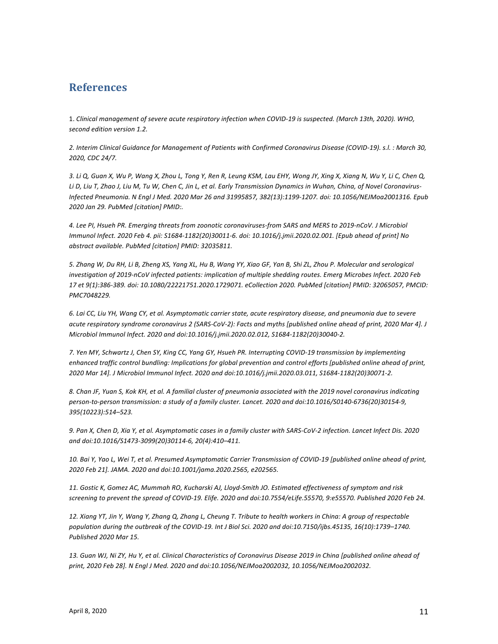### **References**

1. Clinical management of severe acute respiratory infection when COVID-19 is suspected. (March 13th, 2020). WHO, *second edition version 1.2.*

*2. Interim Clinical Guidance for Management of Patients with Confirmed Coronavirus Disease (COVID-19). s.l. : March 30, 2020, CDC 24/7.*

3. Li Q, Guan X, Wu P, Wang X, Zhou L, Tong Y, Ren R, Leung KSM, Lau EHY, Wong JY, Xing X, Xiang N, Wu Y, Li C, Chen Q, Li D, Liu T, Zhao J, Liu M, Tu W, Chen C, Jin L, et al. Early Transmission Dynamics in Wuhan, China, of Novel Coronavirus-*Infected Pneumonia. N Engl J Med. 2020 Mar 26 and 31995857, 382(13):1199-1207. doi: 10.1056/NEJMoa2001316. Epub 2020 Jan 29. PubMed [citation] PMID:.* 

*4. Lee PI, Hsueh PR. Emerging threats from zoonotic coronaviruses-from SARS and MERS to 2019-nCoV. J Microbiol Immunol Infect. 2020 Feb 4. pii:* S1684-1182(20)30011-6. doi: 10.1016/j.jmii.2020.02.001. [Epub ahead of print] No abstract available. PubMed [citation] PMID: 32035811.

5. Zhang W, Du RH, Li B, Zheng XS, Yang XL, Hu B, Wang YY, Xiao GF, Yan B, Shi ZL, Zhou P. Molecular and serological investigation of 2019-nCoV infected patients: implication of multiple shedding routes. Emerg Microbes Infect. 2020 Feb *17 et 9(1):386-389. doi: 10.1080/22221751.2020.1729071. eCollection 2020. PubMed [citation] PMID: 32065057, PMCID: PMC7048229.* 

*6. Lai CC, Liu YH, Wang CY, et al. Asymptomatic carrier state, acute respiratory disease, and pneumonia due to severe*  acute respiratory syndrome coronavirus 2 (SARS-CoV-2): Facts and myths [published online ahead of print, 2020 Mar 4]. J *Microbiol Immunol Infect. 2020 and doi:10.1016/j.jmii.2020.02.012, S1684-1182(20)30040-2.* 

*7. Yen MY, Schwartz J, Chen SY, King CC, Yang GY, Hsueh PR. Interrupting COVID-19 transmission by implementing*  enhanced traffic control bundling: Implications for global prevention and control efforts [published online ahead of print, 2020 Mar 14]. J Microbiol Immunol Infect. 2020 and doi:10.1016/j.jmii.2020.03.011, S1684-1182(20)30071-2.

8. Chan JF, Yuan S, Kok KH, et al. A familial cluster of pneumonia associated with the 2019 novel coronavirus indicating person-to-person transmission: a study of a family cluster. Lancet. 2020 and doi:10.1016/S0140-6736(20)30154-9, *395(10223):514–523.* 

9. Pan X, Chen D, Xia Y, et al. Asymptomatic cases in a family cluster with SARS-CoV-2 infection. Lancet Infect Dis. 2020 and doi:10.1016/S1473-3099(20)30114-6, 20(4):410-411.

10. Bai Y, Yao L, Wei T, et al. Presumed Asymptomatic Carrier Transmission of COVID-19 [published online ahead of print, 2020 Feb 21]. JAMA. 2020 and doi:10.1001/jama.2020.2565, e202565.

*11. Gostic K, Gomez AC, Mummah RO, Kucharski AJ, Lloyd-Smith JO. Estimated effectiveness of symptom and risk*  screening to prevent the spread of COVID-19. Elife. 2020 and doi:10.7554/eLife.55570, 9:e55570. Published 2020 Feb 24.

*12. Xiang YT, Jin Y, Wang Y, Zhang Q, Zhang L, Cheung T. Tribute to health workers in China: A group of respectable population during the outbreak of the COVID-19. Int J Biol Sci. 2020 and doi:10.7150/ijbs.45135, 16(10):1739–1740. Published 2020 Mar 15.* 

13. Guan WJ, Ni ZY, Hu Y, et al. Clinical Characteristics of Coronavirus Disease 2019 in China [published online ahead of print, 2020 Feb 28]. N Engl J Med. 2020 and doi:10.1056/NEJMoa2002032, 10.1056/NEJMoa2002032.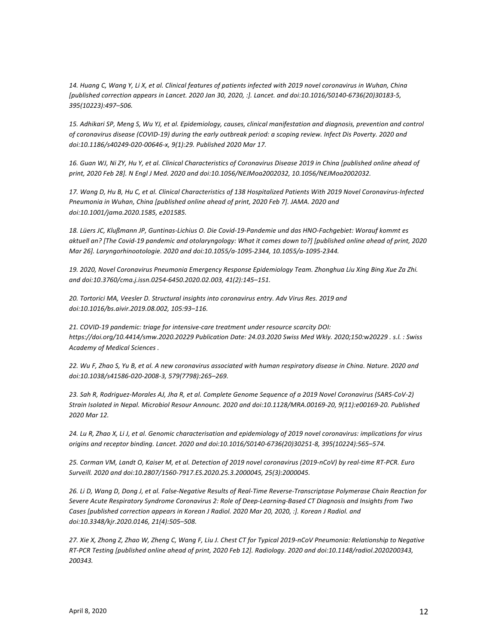14. Huang C, Wang Y, Li X, et al. Clinical features of patients infected with 2019 novel coronavirus in Wuhan, China [published correction appears in Lancet. 2020 Jan 30, 2020, :]. Lancet. and doi:10.1016/S0140-6736(20)30183-5, *395(10223):497–506.* 

15. Adhikari SP, Meng S, Wu YJ, et al. Epidemiology, causes, clinical manifestation and diagnosis, prevention and control of coronavirus disease (COVID-19) during the early outbreak period: a scoping review. Infect Dis Poverty. 2020 and doi:10.1186/s40249-020-00646-x, 9(1):29. Published 2020 Mar 17.

16. Guan WJ, Ni ZY, Hu Y, et al. Clinical Characteristics of Coronavirus Disease 2019 in China [published online ahead of print, 2020 Feb 28]. N Engl J Med. 2020 and doi:10.1056/NEJMoa2002032, 10.1056/NEJMoa2002032.

17. Wang D, Hu B, Hu C, et al. Clinical Characteristics of 138 Hospitalized Patients With 2019 Novel Coronavirus-Infected Pneumonia in Wuhan, China [published online ahead of print, 2020 Feb 7]. JAMA. 2020 and *doi:10.1001/jama.2020.1585, e201585.* 

18. Lüers JC, Klußmann JP, Guntinas-Lichius O. Die Covid-19-Pandemie und das HNO-Fachgebiet: Worauf kommt es aktuell an? [The Covid-19 pandemic and otolaryngology: What it comes down to?] [published online ahead of print, 2020 *Mar 26]. Laryngorhinootologie. 2020 and doi:10.1055/a-1095-2344, 10.1055/a-1095-2344.* 

19. 2020, Novel Coronavirus Pneumonia Emergency Response Epidemiology Team. Zhonghua Liu Xing Bing Xue Za Zhi. *and doi:10.3760/cma.j.issn.0254-6450.2020.02.003, 41(2):145–151.* 

20. Tortorici MA, Veesler D. Structural insights into coronavirus entry. Adv Virus Res. 2019 and *doi:10.1016/bs.aivir.2019.08.002, 105:93–116.* 

21. COVID-19 pandemic: triage for intensive-care treatment under resource scarcity DOI: *https://doi.org/10.4414/smw.2020.20229 Publication Date: 24.03.2020 Swiss Med Wkly. 2020;150:w20229 . s.l. : Swiss Academy of Medical Sciences .*

22. Wu F, Zhao S, Yu B, et al. A new coronavirus associated with human respiratory disease in China. Nature. 2020 and *doi:10.1038/s41586-020-2008-3, 579(7798):265–269.* 

23. Sah R, Rodriguez-Morales AJ, Jha R, et al. Complete Genome Sequence of a 2019 Novel Coronavirus (SARS-CoV-2) Strain Isolated in Nepal. Microbiol Resour Announc. 2020 and doi:10.1128/MRA.00169-20, 9(11):e00169-20. Published *2020 Mar 12.* 

24. Lu R, Zhao X, Li J, et al. Genomic characterisation and epidemiology of 2019 novel coronavirus: implications for virus *origins and receptor binding. Lancet. 2020 and doi:10.1016/S0140-6736(20)30251-8, 395(10224):565–574.* 

*25. Corman VM, Landt O, Kaiser M, et al. Detection of 2019 novel coronavirus (2019-nCoV) by real-time RT-PCR. Euro Surveill. 2020 and doi:10.2807/1560-7917.ES.2020.25.3.2000045, 25(3):2000045.* 

26. Li D, Wang D, Dong J, et al. False-Negative Results of Real-Time Reverse-Transcriptase Polymerase Chain Reaction for Severe Acute Respiratory Syndrome Coronavirus 2: Role of Deep-Learning-Based CT Diagnosis and Insights from Two Cases [published correction appears in Korean J Radiol. 2020 Mar 20, 2020, :]. Korean J Radiol. and *doi:10.3348/kjr.2020.0146, 21(4):505–508.* 

27. Xie X, Zhong Z, Zhao W, Zheng C, Wang F, Liu J. Chest CT for Typical 2019-nCoV Pneumonia: Relationship to Negative *RT-PCR Testing [published online ahead of print, 2020 Feb 12]. Radiology. 2020 and doi:10.1148/radiol.2020200343, 200343.*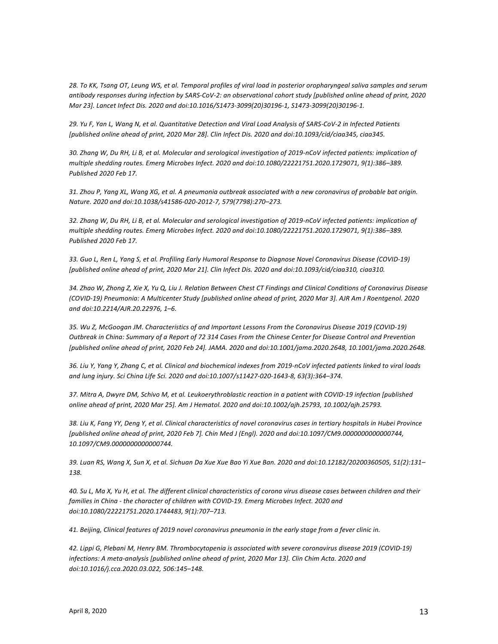28. To KK, Tsang OT, Leung WS, et al. Temporal profiles of viral load in posterior oropharyngeal saliva samples and serum antibody responses during infection by SARS-CoV-2: an observational cohort study [published online ahead of print, 2020 *Mar 23]. Lancet Infect Dis. 2020 and doi:10.1016/S1473-3099(20)30196-1, S1473-3099(20)30196-1.* 

29. Yu F, Yan L, Wang N, et al. Quantitative Detection and Viral Load Analysis of SARS-CoV-2 in Infected Patients [published online ahead of print, 2020 Mar 28]. Clin Infect Dis. 2020 and doi:10.1093/cid/ciaa345, ciaa345.

30. Zhang W, Du RH, Li B, et al. Molecular and serological investigation of 2019-nCoV infected patients: implication of multiple shedding routes. Emerg Microbes Infect. 2020 and doi:10.1080/22221751.2020.1729071, 9(1):386–389. *Published 2020 Feb 17.* 

31. Zhou P, Yang XL, Wang XG, et al. A pneumonia outbreak associated with a new coronavirus of probable bat origin. *Nature. 2020 and doi:10.1038/s41586-020-2012-7, 579(7798):270–273.* 

32. Zhang W, Du RH, Li B, et al. Molecular and serological investigation of 2019-nCoV infected patients: implication of *multiple shedding routes. Emerg Microbes Infect. 2020 and doi:10.1080/22221751.2020.1729071, 9(1):386–389. Published 2020 Feb 17.* 

33. Guo L, Ren L, Yang S, et al. Profiling Early Humoral Response to Diagnose Novel Coronavirus Disease (COVID-19) [published online ahead of print, 2020 Mar 21]. Clin Infect Dis. 2020 and doi:10.1093/cid/ciaa310, ciaa310.

*34. Zhao W, Zhong Z, Xie X, Yu Q, Liu J. Relation Between Chest CT Findings and Clinical Conditions of Coronavirus Disease (COVID-19) Pneumonia: A Multicenter Study [published online ahead of print, 2020 Mar 3]. AJR Am J Roentgenol. 2020 and doi:10.2214/AJR.20.22976, 1–6.* 

35. Wu Z, McGoogan JM. Characteristics of and Important Lessons From the Coronavirus Disease 2019 (COVID-19) *Outbreak in China: Summary of a Report of 72 314 Cases From the Chinese Center for Disease Control and Prevention* [published online ahead of print, 2020 Feb 24]. JAMA. 2020 and doi:10.1001/jama.2020.2648, 10.1001/jama.2020.2648.

36. Liu Y, Yang Y, Zhang C, et al. Clinical and biochemical indexes from 2019-nCoV infected patients linked to viral loads and lung injury. Sci China Life Sci. 2020 and doi:10.1007/s11427-020-1643-8, 63(3):364-374.

37. Mitra A, Dwyre DM, Schivo M, et al. Leukoerythroblastic reaction in a patient with COVID-19 infection [published *online ahead of print, 2020 Mar 25]. Am J Hematol. 2020 and doi:10.1002/ajh.25793, 10.1002/ajh.25793.* 

38. Liu K, Fang YY, Deng Y, et al. Clinical characteristics of novel coronavirus cases in tertiary hospitals in Hubei Province [published online ahead of print, 2020 Feb 7]. Chin Med J (Engl). 2020 and doi:10.1097/CM9.000000000000744, *10.1097/CM9.0000000000000744.* 

*39. Luan RS, Wang X, Sun X, et al. Sichuan Da Xue Xue Bao Yi Xue Ban. 2020 and doi:10.12182/20200360505, 51(2):131– 138.* 

40. Su L, Ma X, Yu H, et al. The different clinical characteristics of corona virus disease cases between children and their families in China - the character of children with COVID-19. Emerg Microbes Infect. 2020 and *doi:10.1080/22221751.2020.1744483, 9(1):707–713.* 

41. Beijing, Clinical features of 2019 novel coronavirus pneumonia in the early stage from a fever clinic in.

42. Lippi G, Plebani M, Henry BM. Thrombocytopenia is associated with severe coronavirus disease 2019 (COVID-19) infections: A meta-analysis [published online ahead of print, 2020 Mar 13]. Clin Chim Acta. 2020 and doi:10.1016/j.cca.2020.03.022, 506:145-148.